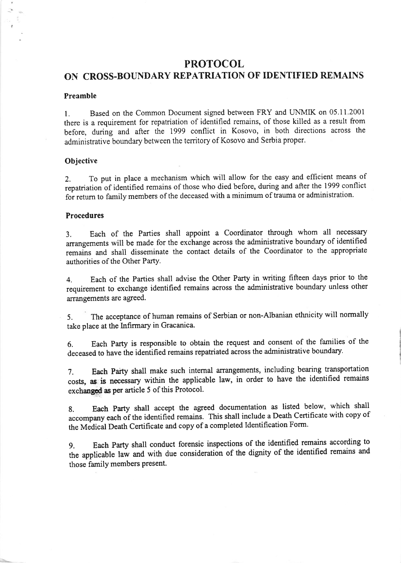## PROTOCOL

## ON CROSS.BOUNDARY REPATRIATION OF IDENTIFIED REMAINS

#### Preamble

1. Based on the Common Document signed between FRY and UNMIK on 05.11.2001 there is a requirement for repatriation of identified remains, of those killed as a result from before, during and after the 1999 conflict in Kosovo, in both directions across the administrative boundary between the territory of Kosovo and Serbia proper.

#### **Objective**

2. To put in place a mechanism which will allow for the easy and efficient means of repatriation of identified remains of those who died before, during and after the 1999 conflict for return to family members of the deceased with a minimum of trauma or administration.

#### Procedures

3. Each of the Parties shall appoint a Coordinator through whom all necessary arrangements will be made for the exchange across the administrative boundary of identified remains and shall disseminate the contact details of the Coordinator to the appropriate authorities of the Other PartY.

4. Each of the Parties shall advise the Other Party in writing fifteen days prior to the requirement to exchange identified remains across the administrative boundary unless other arrangements are agreed.

5. The acceptance of human remains of Serbian or non-Albanian ethnicity will normally take place at the Infirmary in Gracanica.

6. Each Party is responsible to obtain the request and consent of the families of the deceased to have the identified remains repatriated across the administrative boundary.

7. Each Party shall make such internal arangements, including bearing transportation costs, as is necessary within the applicable law, in order to have the identified remains exchanged as per article 5 of this Protocol.

8. Each Party shall accept the agreed documentation as listed below, which shall accompany each of the identified remains. This shall include a Death Certificate with copy of the Medical Death Certificate and copy of a completed Identification Form.

9. Each party shall conduct forensic inspections of the identified remains according to the applicable law and with due consideration of the dignity of the identified remains and those family members present.